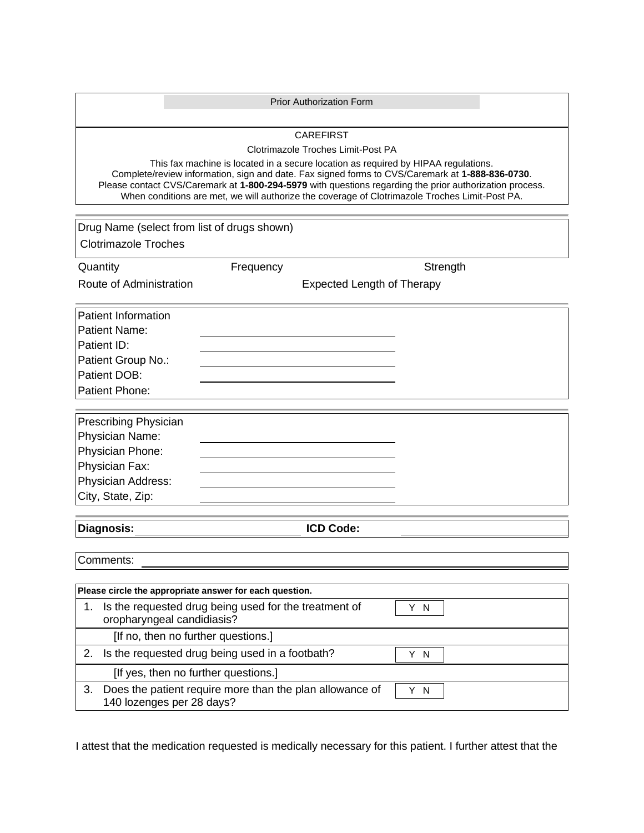|                                                                                                                                                                                                                                                                                                  | <b>Prior Authorization Form</b>   |          |
|--------------------------------------------------------------------------------------------------------------------------------------------------------------------------------------------------------------------------------------------------------------------------------------------------|-----------------------------------|----------|
|                                                                                                                                                                                                                                                                                                  |                                   |          |
| <b>CAREFIRST</b>                                                                                                                                                                                                                                                                                 |                                   |          |
| Clotrimazole Troches Limit-Post PA                                                                                                                                                                                                                                                               |                                   |          |
| This fax machine is located in a secure location as required by HIPAA regulations.<br>Complete/review information, sign and date. Fax signed forms to CVS/Caremark at 1-888-836-0730.<br>Please contact CVS/Caremark at 1-800-294-5979 with questions regarding the prior authorization process. |                                   |          |
|                                                                                                                                                                                                                                                                                                  |                                   |          |
|                                                                                                                                                                                                                                                                                                  |                                   |          |
| Drug Name (select from list of drugs shown)                                                                                                                                                                                                                                                      |                                   |          |
| <b>Clotrimazole Troches</b>                                                                                                                                                                                                                                                                      |                                   |          |
| Quantity                                                                                                                                                                                                                                                                                         | Frequency                         | Strength |
| Route of Administration                                                                                                                                                                                                                                                                          | <b>Expected Length of Therapy</b> |          |
|                                                                                                                                                                                                                                                                                                  |                                   |          |
| <b>Patient Information</b>                                                                                                                                                                                                                                                                       |                                   |          |
| Patient Name:                                                                                                                                                                                                                                                                                    |                                   |          |
| Patient ID:                                                                                                                                                                                                                                                                                      |                                   |          |
| Patient Group No.:                                                                                                                                                                                                                                                                               |                                   |          |
| Patient DOB:                                                                                                                                                                                                                                                                                     |                                   |          |
| Patient Phone:                                                                                                                                                                                                                                                                                   |                                   |          |
|                                                                                                                                                                                                                                                                                                  |                                   |          |
| Prescribing Physician                                                                                                                                                                                                                                                                            |                                   |          |
| Physician Name:                                                                                                                                                                                                                                                                                  |                                   |          |
| Physician Phone:                                                                                                                                                                                                                                                                                 |                                   |          |
| Physician Fax:                                                                                                                                                                                                                                                                                   |                                   |          |
| Physician Address:                                                                                                                                                                                                                                                                               |                                   |          |
| City, State, Zip:                                                                                                                                                                                                                                                                                |                                   |          |
|                                                                                                                                                                                                                                                                                                  |                                   |          |
| Diagnosis:                                                                                                                                                                                                                                                                                       | <b>ICD Code:</b>                  |          |
|                                                                                                                                                                                                                                                                                                  |                                   |          |
| Comments:                                                                                                                                                                                                                                                                                        |                                   |          |
|                                                                                                                                                                                                                                                                                                  |                                   |          |
| Please circle the appropriate answer for each question.<br>Is the requested drug being used for the treatment of<br>1.                                                                                                                                                                           |                                   |          |
| Y N<br>oropharyngeal candidiasis?                                                                                                                                                                                                                                                                |                                   |          |
| [If no, then no further questions.]                                                                                                                                                                                                                                                              |                                   |          |
| Is the requested drug being used in a footbath?<br>2.<br>Y N                                                                                                                                                                                                                                     |                                   |          |
| [If yes, then no further questions.]                                                                                                                                                                                                                                                             |                                   |          |
| Does the patient require more than the plan allowance of<br>3.<br>Y N<br>140 lozenges per 28 days?                                                                                                                                                                                               |                                   |          |

I attest that the medication requested is medically necessary for this patient. I further attest that the